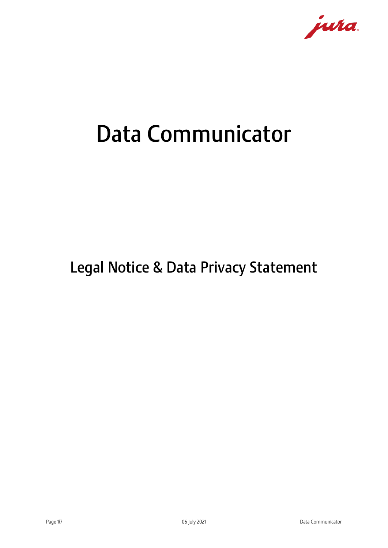

# Data Communicator

# Legal Notice & Data Privacy Statement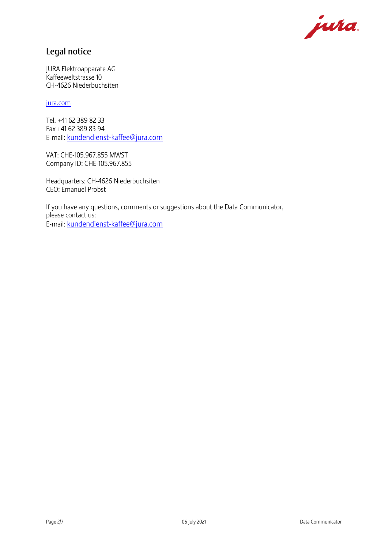

## Legal notice

JURA Elektroapparate AG Kaffeeweltstrasse 10 CH-4626 Niederbuchsiten

#### [jura.com](http://www.jura.com/)

Tel. +41 62 389 82 33 Fax +41 62 389 83 94 E-mail: [kundendienst-kaffee@jura.com](mailto:kundendienst-kaffee@jura.com)

VAT: CHE-105.967.855 MWST Company ID: CHE-105.967.855

Headquarters: CH-4626 Niederbuchsiten CEO: Emanuel Probst

If you have any questions, comments or suggestions about the Data Communicator, please contact us: E-mail: [kundendienst-kaffee@jura.com](mailto:kundendienst-kaffee@jura.com)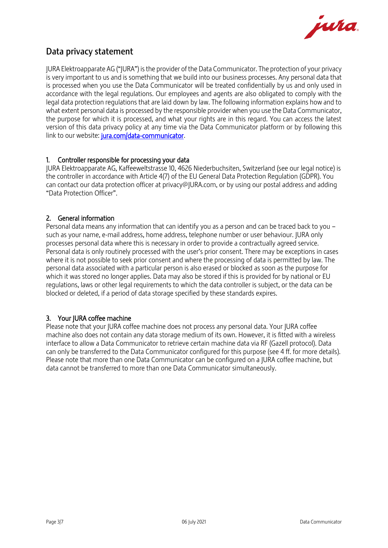

## Data privacy statement

JURA Elektroapparate AG ("JURA") is the provider of the Data Communicator. The protection of your privacy is very important to us and is something that we build into our business processes. Any personal data that is processed when you use the Data Communicator will be treated confidentially by us and only used in accordance with the legal regulations. Our employees and agents are also obligated to comply with the legal data protection regulations that are laid down by law. The following information explains how and to what extent personal data is processed by the responsible provider when you use the Data Communicator, the purpose for which it is processed, and what your rights are in this regard. You can access the latest version of this data privacy policy at any time via the Data Communicator platform or by following this link to our website: [jura.com/data-communicator.](http://www.jura.com/data-communicator)

#### 1. Controller responsible for processing your data

JURA Elektroapparate AG, Kaffeeweltstrasse 10, 4626 Niederbuchsiten, Switzerland (see our legal notice) is the controller in accordance with Article 4(7) of the EU General Data Protection Regulation (GDPR). You can contact our data protection officer at privacy@JURA.com, or by using our postal address and adding "Data Protection Officer".

#### 2. General information

Personal data means any information that can identify you as a person and can be traced back to you – such as your name, e-mail address, home address, telephone number or user behaviour. JURA only processes personal data where this is necessary in order to provide a contractually agreed service. Personal data is only routinely processed with the user's prior consent. There may be exceptions in cases where it is not possible to seek prior consent and where the processing of data is permitted by law. The personal data associated with a particular person is also erased or blocked as soon as the purpose for which it was stored no longer applies. Data may also be stored if this is provided for by national or EU regulations, laws or other legal requirements to which the data controller is subject, or the data can be blocked or deleted, if a period of data storage specified by these standards expires.

#### 3. Your IURA coffee machine

Please note that your JURA coffee machine does not process any personal data. Your JURA coffee machine also does not contain any data storage medium of its own. However, it is fitted with a wireless interface to allow a Data Communicator to retrieve certain machine data via RF (Gazell protocol). Data can only be transferred to the Data Communicator configured for this purpose (see 4 ff. for more details). Please note that more than one Data Communicator can be configured on a JURA coffee machine, but data cannot be transferred to more than one Data Communicator simultaneously.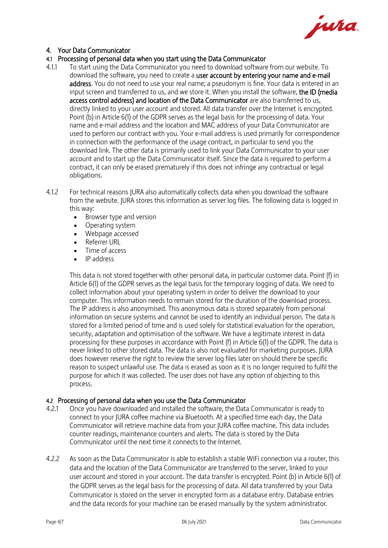

#### 4. Your Data Communicator

#### 4.1 Processing of personal data when you start using the Data Communicator

- 4.1.1 To start using the Data Communicator you need to download software from our website. To download the software, you need to create a user account by entering your name and e-mail address. You do not need to use your real name; a pseudonym is fine. Your data is entered in an input screen and transferred to us, and we store it. When you install the software, the ID (media access control address) and location of the Data Communicator are also transferred to us, directly linked to your user account and stored. All data transfer over the Internet is encrypted. Point (b) in Article 6(1) of the GDPR serves as the legal basis for the processing of data. Your name and e-mail address and the location and MAC address of your Data Communicator are used to perform our contract with you. Your e-mail address is used primarily for correspondence in connection with the performance of the usage contract, in particular to send you the download link. The other data is primarily used to link your Data Communicator to your user account and to start up the Data Communicator itself. Since the data is required to perform a contract, it can only be erased prematurely if this does not infringe any contractual or legal obligations.
- 4.1.2 For technical reasons JURA also automatically collects data when you download the software from the website. JURA stores this information as server log files. The following data is logged in this way:
	- Browser type and version
	- Operating system
	- Webpage accessed
	- Referrer URL
	- Time of access
	- IP address

This data is not stored together with other personal data, in particular customer data. Point (f) in Article 6(1) of the GDPR serves as the legal basis for the temporary logging of data. We need to collect information about your operating system in order to deliver the download to your computer. This information needs to remain stored for the duration of the download process. The IP address is also anonymised. This anonymous data is stored separately from personal information on secure systems and cannot be used to identify an individual person. The data is stored for a limited period of time and is used solely for statistical evaluation for the operation, security, adaptation and optimisation of the software. We have a legitimate interest in data processing for these purposes in accordance with Point (f) in Article 6(1) of the GDPR. The data is never linked to other stored data. The data is also not evaluated for marketing purposes. JURA does however reserve the right to review the server log files later on should there be specific reason to suspect unlawful use. The data is erased as soon as it is no longer required to fulfil the purpose for which it was collected. The user does not have any option of objecting to this process.

#### 4.2 Processing of personal data when you use the Data Communicator

- 4.2.1 Once you have downloaded and installed the software, the Data Communicator is ready to connect to your JURA coffee machine via Bluetooth. At a specified time each day, the Data Communicator will retrieve machine data from your JURA coffee machine. This data includes counter readings, maintenance counters and alerts. The data is stored by the Data Communicator until the next time it connects to the Internet.
- 4.2.2 As soon as the Data Communicator is able to establish a stable WiFi connection via a router, this data and the location of the Data Communicator are transferred to the server, linked to your user account and stored in your account. The data transfer is encrypted. Point (b) in Article 6(1) of the GDPR serves as the legal basis for the processing of data. All data transferred by your Data Communicator is stored on the server in encrypted form as a database entry. Database entries and the data records for your machine can be erased manually by the system administrator.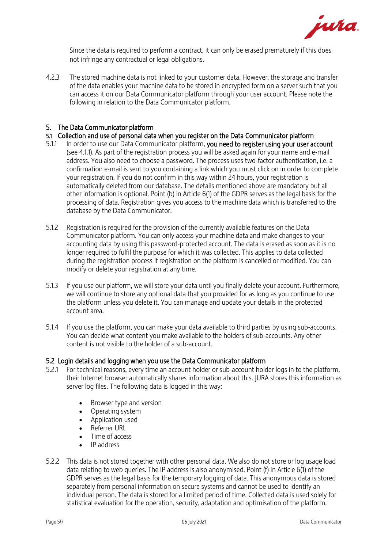

Since the data is required to perform a contract, it can only be erased prematurely if this does not infringe any contractual or legal obligations.

4.2.3 The stored machine data is not linked to your customer data. However, the storage and transfer of the data enables your machine data to be stored in encrypted form on a server such that you can access it on our Data Communicator platform through your user account. Please note the following in relation to the Data Communicator platform.

#### 5. The Data Communicator platform

#### 5.1 Collection and use of personal data when you register on the Data Communicator platform

- 5.1.1 In order to use our Data Communicator platform, you need to register using your user account (see 4.1.1). As part of the registration process you will be asked again for your name and e-mail address. You also need to choose a password. The process uses two-factor authentication, i.e. a confirmation e-mail is sent to you containing a link which you must click on in order to complete your registration. If you do not confirm in this way within 24 hours, your registration is automatically deleted from our database. The details mentioned above are mandatory but all other information is optional. Point (b) in Article 6(1) of the GDPR serves as the legal basis for the processing of data. Registration gives you access to the machine data which is transferred to the database by the Data Communicator.
- 5.1.2 Registration is required for the provision of the currently available features on the Data Communicator platform. You can only access your machine data and make changes to your accounting data by using this password-protected account. The data is erased as soon as it is no longer required to fulfil the purpose for which it was collected. This applies to data collected during the registration process if registration on the platform is cancelled or modified. You can modify or delete your registration at any time.
- 5.1.3 If you use our platform, we will store your data until you finally delete your account. Furthermore, we will continue to store any optional data that you provided for as long as you continue to use the platform unless you delete it. You can manage and update your details in the protected account area.
- 5.1.4 If you use the platform, you can make your data available to third parties by using sub-accounts. You can decide what content you make available to the holders of sub-accounts. Any other content is not visible to the holder of a sub-account.

#### 5.2 Login details and logging when you use the Data Communicator platform

- 5.2.1 For technical reasons, every time an account holder or sub-account holder logs in to the platform, their Internet browser automatically shares information about this. JURA stores this information as server log files. The following data is logged in this way:
	- Browser type and version
	- Operating system
	- Application used
	- Referrer URL
	- Time of access
	- IP address
- 5.2.2 This data is not stored together with other personal data. We also do not store or log usage load data relating to web queries. The IP address is also anonymised. Point (f) in Article 6(1) of the GDPR serves as the legal basis for the temporary logging of data. This anonymous data is stored separately from personal information on secure systems and cannot be used to identify an individual person. The data is stored for a limited period of time. Collected data is used solely for statistical evaluation for the operation, security, adaptation and optimisation of the platform.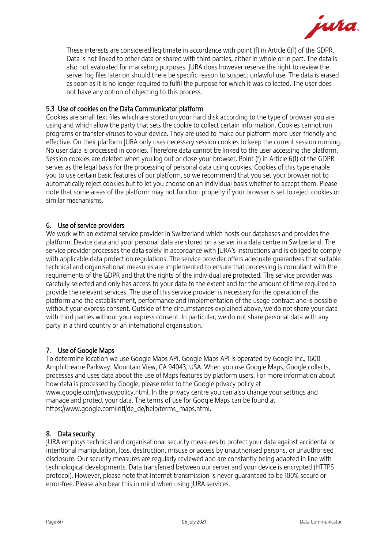

These interests are considered legitimate in accordance with point (f) in Article 6(1) of the GDPR. Data is not linked to other data or shared with third parties, either in whole or in part. The data is also not evaluated for marketing purposes. JURA does however reserve the right to review the server log files later on should there be specific reason to suspect unlawful use. The data is erased as soon as it is no longer required to fulfil the purpose for which it was collected. The user does not have any option of objecting to this process.

#### 5.3 Use of cookies on the Data Communicator platform

Cookies are small text files which are stored on your hard disk according to the type of browser you are using and which allow the party that sets the cookie to collect certain information. Cookies cannot run programs or transfer viruses to your device. They are used to make our platform more user-friendly and effective. On their platform JURA only uses necessary session cookies to keep the current session running. No user data is processed in cookies. Therefore data cannot be linked to the user accessing the platform. Session cookies are deleted when you log out or close your browser. Point (f) in Article 6(1) of the GDPR serves as the legal basis for the processing of personal data using cookies. Cookies of this type enable you to use certain basic features of our platform, so we recommend that you set your browser not to automatically reject cookies but to let you choose on an individual basis whether to accept them. Please note that some areas of the platform may not function properly if your browser is set to reject cookies or similar mechanisms.

#### 6. Use of service providers

We work with an external service provider in Switzerland which hosts our databases and provides the platform. Device data and your personal data are stored on a server in a data centre in Switzerland. The service provider processes the data solely in accordance with JURA's instructions and is obliged to comply with applicable data protection regulations. The service provider offers adequate guarantees that suitable technical and organisational measures are implemented to ensure that processing is compliant with the requirements of the GDPR and that the rights of the individual are protected. The service provider was carefully selected and only has access to your data to the extent and for the amount of time required to provide the relevant services. The use of this service provider is necessary for the operation of the platform and the establishment, performance and implementation of the usage contract and is possible without your express consent. Outside of the circumstances explained above, we do not share your data with third parties without your express consent. In particular, we do not share personal data with any party in a third country or an international organisation.

#### 7. Use of Google Maps

To determine location we use Google Maps API. Google Maps API is operated by Google Inc., 1600 Amphitheatre Parkway, Mountain View, CA 94043, USA. When you use Google Maps, Google collects, processes and uses data about the use of Maps features by platform users. For more information about how data is processed by Google, please refer to the Google privacy policy at www.google.com/privacypolicy.html. In the privacy centre you can also change your settings and manage and protect your data. The terms of use for Google Maps can be found at https://www.google.com/intl/de\_de/help/terms\_maps.html.

#### 8. Data security

JURA employs technical and organisational security measures to protect your data against accidental or intentional manipulation, loss, destruction, misuse or access by unauthorised persons, or unauthorised disclosure. Our security measures are regularly reviewed and are constantly being adapted in line with technological developments. Data transferred between our server and your device is encrypted (HTTPS protocol). However, please note that Internet transmission is never guaranteed to be 100% secure or error-free. Please also bear this in mind when using JURA services.